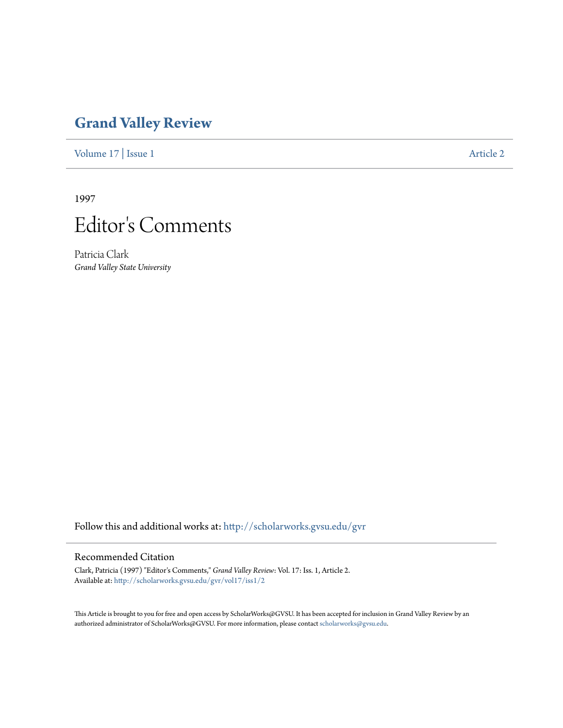## **[Grand Valley Review](http://scholarworks.gvsu.edu/gvr?utm_source=scholarworks.gvsu.edu%2Fgvr%2Fvol17%2Fiss1%2F2&utm_medium=PDF&utm_campaign=PDFCoverPages)**

[Volume 17](http://scholarworks.gvsu.edu/gvr/vol17?utm_source=scholarworks.gvsu.edu%2Fgvr%2Fvol17%2Fiss1%2F2&utm_medium=PDF&utm_campaign=PDFCoverPages) | [Issue 1](http://scholarworks.gvsu.edu/gvr/vol17/iss1?utm_source=scholarworks.gvsu.edu%2Fgvr%2Fvol17%2Fiss1%2F2&utm_medium=PDF&utm_campaign=PDFCoverPages) [Article 2](http://scholarworks.gvsu.edu/gvr/vol17/iss1/2?utm_source=scholarworks.gvsu.edu%2Fgvr%2Fvol17%2Fiss1%2F2&utm_medium=PDF&utm_campaign=PDFCoverPages)

1997



Patricia Clark *Grand Valley State University*

Follow this and additional works at: [http://scholarworks.gvsu.edu/gvr](http://scholarworks.gvsu.edu/gvr?utm_source=scholarworks.gvsu.edu%2Fgvr%2Fvol17%2Fiss1%2F2&utm_medium=PDF&utm_campaign=PDFCoverPages)

## Recommended Citation

Clark, Patricia (1997) "Editor's Comments," *Grand Valley Review*: Vol. 17: Iss. 1, Article 2. Available at: [http://scholarworks.gvsu.edu/gvr/vol17/iss1/2](http://scholarworks.gvsu.edu/gvr/vol17/iss1/2?utm_source=scholarworks.gvsu.edu%2Fgvr%2Fvol17%2Fiss1%2F2&utm_medium=PDF&utm_campaign=PDFCoverPages)

This Article is brought to you for free and open access by ScholarWorks@GVSU. It has been accepted for inclusion in Grand Valley Review by an authorized administrator of ScholarWorks@GVSU. For more information, please contact [scholarworks@gvsu.edu.](mailto:scholarworks@gvsu.edu)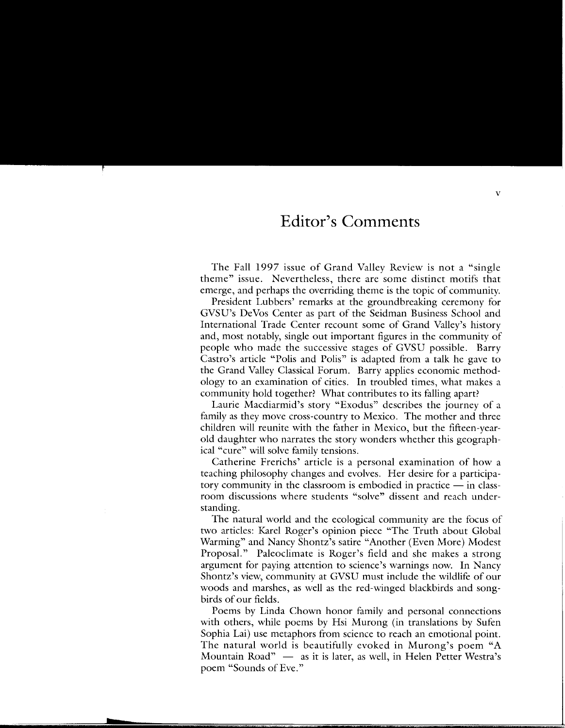## **Editor's Comments**

The Fall 1997 issue of Grand Valley Review is not a "single theme" issue. Nevertheless, there are some distinct motifs that emerge, and perhaps the overriding theme is the topic of community.

President Lubbers' remarks at the groundbreaking ceremony for GVSU's DeVos Center as part of the Seidman Business School and International Trade Center recount some of Grand Valley's history and, most notably, single out important figures in the community of people who made the successive stages of GVSU possible. Barry Castro's article "Polis and Polis" is adapted from a talk he gave to the Grand Valley Classical Forum. Barry applies economic methodology to an examination of cities. In troubled times, what makes a community hold together? What contributes to its falling apart?

Laurie Macdiarmid's story "Exodus" describes the journey of a family as they move cross-country to Mexico. The mother and three children will reunite with the father in Mexico, but the fifteen-yearold daughter who narrates the story wonders whether this geographical "cure" will solve family tensions.

Catherine Frerichs' article is a personal examination of how a teaching philosophy changes and evolves. Her desire for a participatory community in the classroom is embodied in practice  $-$  in classroom discussions where students "solve" dissent and reach understanding.

The natural world and the ecological community are the focus of two articles: Karel Roger's opinion piece "The Truth about Global Warming" and Nancy Shontz's satire "Another (Even More) Modest Proposal." Paleoclimate is Roger's field and she makes a strong argument for paying attention to science's warnings now. In Nancy Shontz's view, community at GVSU must include the wildlife of our woods and marshes, as well as the red-winged blackbirds and songbirds of our fields.

Poems by Linda Chown honor family and personal connections with others, while poems by Hsi Murong (in translations by Sufen Sophia Lai) use metaphors from science to reach an emotional point. The natural world is beautifully evoked in Murong's poem "A Mountain Road"  $-$  as it is later, as well, in Helen Petter Westra's poem "Sounds of Eve."